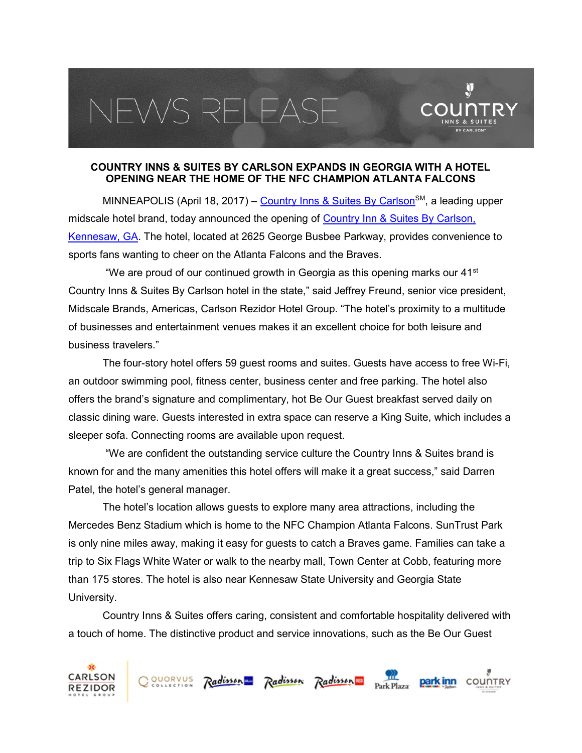## EWS RELEAS



 $\mathbf{\hat{y}}$ 

MINNEAPOLIS (April 18, 2017) – Country Inns & Suites By Carlson<sup>SM</sup>, a leading upper midscale hotel brand, today announced the opening of Country Inn & Suites By Carlson, Kennesaw, GA. The hotel, located at 2625 George Busbee Parkway, provides convenience to sports fans wanting to cheer on the Atlanta Falcons and the Braves.

"We are proud of our continued growth in Georgia as this opening marks our  $41<sup>st</sup>$ Country Inns & Suites By Carlson hotel in the state," said Jeffrey Freund, senior vice president, Midscale Brands, Americas, Carlson Rezidor Hotel Group. "The hotel's proximity to a multitude of businesses and entertainment venues makes it an excellent choice for both leisure and business travelers."

The four-story hotel offers 59 guest rooms and suites. Guests have access to free Wi-Fi, an outdoor swimming pool, fitness center, business center and free parking. The hotel also offers the brand's signature and complimentary, hot Be Our Guest breakfast served daily on classic dining ware. Guests interested in extra space can reserve a King Suite, which includes a sleeper sofa. Connecting rooms are available upon request.

 "We are confident the outstanding service culture the Country Inns & Suites brand is known for and the many amenities this hotel offers will make it a great success," said Darren Patel, the hotel's general manager.

The hotel's location allows guests to explore many area attractions, including the Mercedes Benz Stadium which is home to the NFC Champion Atlanta Falcons. SunTrust Park is only nine miles away, making it easy for guests to catch a Braves game. Families can take a trip to Six Flags White Water or walk to the nearby mall, Town Center at Cobb, featuring more than 175 stores. The hotel is also near Kennesaw State University and Georgia State University.

Country Inns & Suites offers caring, consistent and comfortable hospitality delivered with a touch of home. The distinctive product and service innovations, such as the Be Our Guest